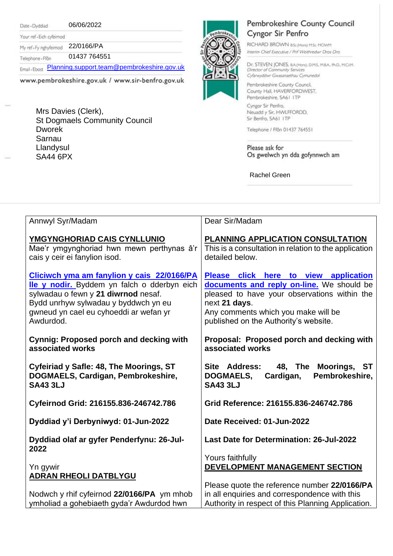Date - Dyddiad

06/06/2022

Your ref - Eich cyfeirnod My ref-Fy nghyfeirnod 22/0166/PA

01437 764551 Telephone - Ffôn

Email . Ebost [Planning.support.team@pembrokeshire.gov.uk](mailto:Planning.support.team@pembrokeshire.gov.uk)

www.pembrokeshire.gov.uk / www.sir-benfro.gov.uk

Mrs Davies (Clerk), St Dogmaels Community Council Dworek Sarnau Llandysul SA44 6PX



## Pembrokeshire County Council Cyngor Sir Penfro

RICHARD BROWN BSc(Hons) MSc MCIWM Interim Chief Executive / Prif Weithredwr Dros Dro

Dr. STEVEN JONES, BA(Hons), DMS, MBA, PhD, MCIM. Director of Community Services Cyfarwyddwr Gwasanaethau Cymunedol

Pembrokeshire County Council, County Hall, HAVERFORDWEST, Pembrokeshire, SA61 ITP Cyngor Sir Penfro,

Neuadd y Sir, HWLFFORDD, Sir Benfro, SA61 ITP

Telephone / Ffon 01437 764551

Please ask for Os gwelwch yn dda gofynnwch am

Rachel Green

| Annwyl Syr/Madam                                                                                                                                                                                                                | Dear Sir/Madam                                                                                                                                                                                                                      |
|---------------------------------------------------------------------------------------------------------------------------------------------------------------------------------------------------------------------------------|-------------------------------------------------------------------------------------------------------------------------------------------------------------------------------------------------------------------------------------|
| YMGYNGHORIAD CAIS CYNLLUNIO<br>Mae'r ymgynghoriad hwn mewn perthynas â'r<br>cais y ceir ei fanylion isod.                                                                                                                       | PLANNING APPLICATION CONSULTATION<br>This is a consultation in relation to the application<br>detailed below.                                                                                                                       |
| Cliciwch yma am fanylion y cais 22/0166/PA<br>lle y nodir. Byddem yn falch o dderbyn eich<br>sylwadau o fewn y 21 diwrnod nesaf.<br>Bydd unrhyw sylwadau y byddwch yn eu<br>gwneud yn cael eu cyhoeddi ar wefan yr<br>Awdurdod. | Please click here to view application<br>documents and reply on-line. We should be<br>pleased to have your observations within the<br>next 21 days.<br>Any comments which you make will be<br>published on the Authority's website. |
| <b>Cynnig: Proposed porch and decking with</b><br>associated works                                                                                                                                                              | Proposal: Proposed porch and decking with<br>associated works                                                                                                                                                                       |
| Cyfeiriad y Safle: 48, The Moorings, ST<br>DOGMAELS, Cardigan, Pembrokeshire,<br><b>SA43 3LJ</b>                                                                                                                                | Site Address: 48, The Moorings, ST<br>Pembrokeshire,<br><b>DOGMAELS,</b><br>Cardigan,<br><b>SA43 3LJ</b>                                                                                                                            |
| Cyfeirnod Grid: 216155.836-246742.786                                                                                                                                                                                           | Grid Reference: 216155.836-246742.786                                                                                                                                                                                               |
| Dyddiad y'i Derbyniwyd: 01-Jun-2022                                                                                                                                                                                             | Date Received: 01-Jun-2022                                                                                                                                                                                                          |
| Dyddiad olaf ar gyfer Penderfynu: 26-Jul-<br>2022                                                                                                                                                                               | Last Date for Determination: 26-Jul-2022                                                                                                                                                                                            |
| Yn gywir<br><b>ADRAN RHEOLI DATBLYGU</b>                                                                                                                                                                                        | Yours faithfully<br>DEVELOPMENT MANAGEMENT SECTION<br>Please quote the reference number 22/0166/PA                                                                                                                                  |
| Nodwch y rhif cyfeirnod 22/0166/PA ym mhob<br>ymholiad a gohebiaeth gyda'r Awdurdod hwn                                                                                                                                         | in all enquiries and correspondence with this<br>Authority in respect of this Planning Application.                                                                                                                                 |